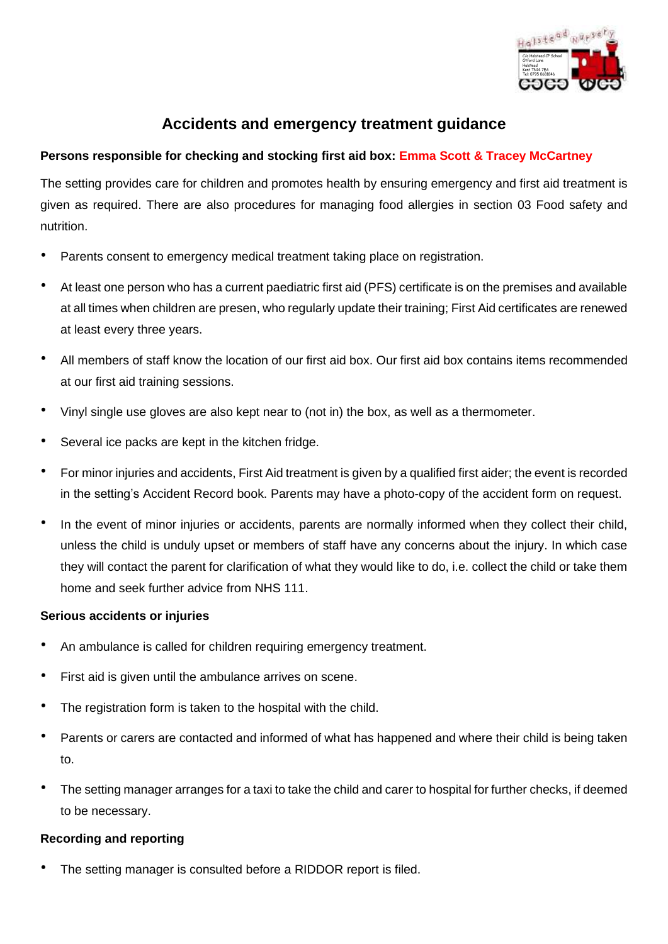

## **Accidents and emergency treatment guidance**

## **Persons responsible for checking and stocking first aid box: Emma Scott & Tracey McCartney**

The setting provides care for children and promotes health by ensuring emergency and first aid treatment is given as required. There are also procedures for managing food allergies in section 03 Food safety and nutrition.

- Parents consent to emergency medical treatment taking place on registration.
- At least one person who has a current paediatric first aid (PFS) certificate is on the premises and available at all times when children are presen, who regularly update their training; First Aid certificates are renewed at least every three years.
- All members of staff know the location of our first aid box. Our first aid box contains items recommended at our first aid training sessions.
- Vinyl single use gloves are also kept near to (not in) the box, as well as a thermometer.
- Several ice packs are kept in the kitchen fridge.
- For minor injuries and accidents, First Aid treatment is given by a qualified first aider; the event is recorded in the setting's Accident Record book. Parents may have a photo-copy of the accident form on request.
- In the event of minor injuries or accidents, parents are normally informed when they collect their child, unless the child is unduly upset or members of staff have any concerns about the injury. In which case they will contact the parent for clarification of what they would like to do, i.e. collect the child or take them home and seek further advice from NHS 111.

## **Serious accidents or injuries**

- An ambulance is called for children requiring emergency treatment.
- First aid is given until the ambulance arrives on scene.
- The registration form is taken to the hospital with the child.
- Parents or carers are contacted and informed of what has happened and where their child is being taken to.
- The setting manager arranges for a taxi to take the child and carer to hospital for further checks, if deemed to be necessary.

## **Recording and reporting**

The setting manager is consulted before a RIDDOR report is filed.